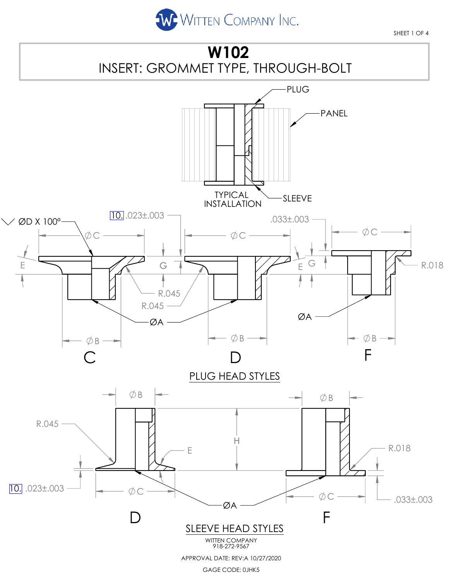

SHEET 1 OF 4

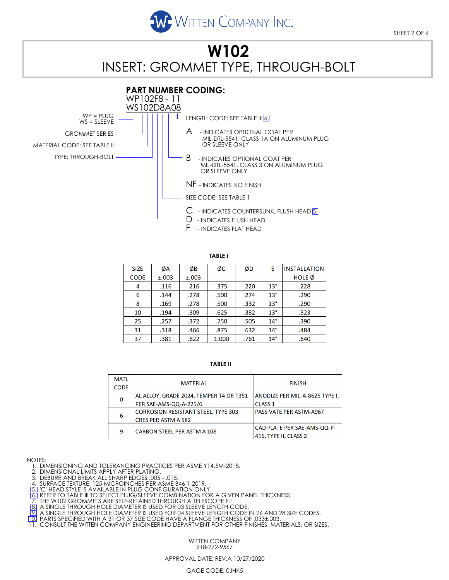

# **W102** INSERT: GROMMET TYPE, THROUGH-BOLT



| <b>SIZE</b> | ØA    | ØB    | ØС    | ØD   | F            | <b>INSTALLATION</b> |
|-------------|-------|-------|-------|------|--------------|---------------------|
| <b>CODE</b> | ±.003 | ±.003 |       |      |              | <b>HOLE</b> Ø       |
| 4           | .116  | .216  | .375  | .220 | $13^{\circ}$ | .228                |
| 6           | .144  | .278  | .500  | .274 | $13^\circ$   | .290                |
| 8           | .169  | .278  | .500  | .332 | $13^{\circ}$ | .290                |
| 10          | .194  | .309  | .625  | .382 | $13^\circ$   | .323                |
| 25          | .257  | .372  | .750  | .505 | $14^{\circ}$ | .390                |
| 31          | .318  | .466  | .875  | .632 | $14^{\circ}$ | .484                |
| 37          | .381  | .622  | 1.000 | .761 | $14^{\circ}$ | .640                |

#### **TABLE II**

| <b>MATL</b>  | <b>MATERIAL</b>                            | <b>FINISH</b>                  |  |  |
|--------------|--------------------------------------------|--------------------------------|--|--|
| <b>CODE</b>  |                                            |                                |  |  |
| $\mathbf{0}$ | AL ALLOY, GRADE 2024, TEMPER T4 OR T351    | ANODIZE PER MIL-A-8625 TYPE I, |  |  |
|              | PER SAE-AMS-QQ-A-225/6                     | <b>CLASS 1</b>                 |  |  |
| 6            | <b>CORROSION RESISTANT STEEL, TYPE 303</b> | PASSIVATE PER ASTM-A967        |  |  |
|              | <b>CRES PER ASTM A 582</b>                 |                                |  |  |
| 9            | CARBON STEEL PER ASTM A 108                | CAD PLATE PER SAE-AMS-QQ-P-    |  |  |
|              |                                            | 416, TYPE II, CLASS 2          |  |  |

NOTES:

1. DIMENSIONING AND TOLERANCING PRACTICES PER ASME Y14.5M-2018.

2. DIMENSIONAL LIMITS APPLY AFTER PLATING.

3. DEBURR AND BREAK ALL SHARP EDGES .005 - .015.<br>4. SURFACE TEXTURE: 125 MICROINCHES PER ASME B46.1-2019.<br>[5] 'C' HEAD STYLE IS AVAILABLE IN PLUG CONFIGURATION ONLY.

<u>T6.</u> REFER TO TABLE III TO SELECT PLUG/SLEEVE COMBINATION FOR A GIVEN PANEL THICKNESS.<br>7. THE W102 GROMMETS ARE SELF-RETAINED THROUGH A TELESCOPE FIT.

BE A SINGLE THROUGH HOLE DIAMETER IS USED FOR 03 SLEEVE LENGTH CODE.<br>[9] A SINGLE THROUGH HOLE DIAMETER IS USED FOR 04 SLEEVE LENGTH CODE IN 26 AND 28 SIZE CODES.<br>[10] PARTS SPECIFIED WITH A 31 OR 37 SIZE CODE HAVE A FLANG

WITTEN COMPANY 918-272-9567

#### APPROVAL DATE: REV:A 10/27/2020

#### GAGE CODE: 0JHK5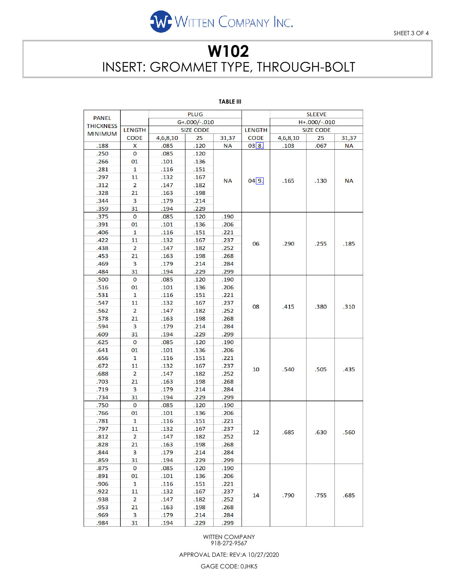

# **W102** INSERT: GROMMET TYPE, THROUGH-BOLT

### **TABLE III**

|                  | <b>PLUG</b>    |                  |      |           |                  |                  | <b>SLEEVE</b> |           |  |
|------------------|----------------|------------------|------|-----------|------------------|------------------|---------------|-----------|--|
| <b>PANEL</b>     |                | G+.000/-.010     |      |           |                  | H+.000/-.010     |               |           |  |
| <b>THICKNESS</b> | <b>LENGTH</b>  | <b>SIZE CODE</b> |      |           | <b>LENGTH</b>    | <b>SIZE CODE</b> |               |           |  |
| <b>MINIMUM</b>   | <b>CODE</b>    | 4,6,8,10         | 25   | 31,37     | <b>CODE</b>      | 4,6,8,10         | 25            | 31,37     |  |
| .188             | x              | .085             | .120 | <b>NA</b> | 03 8.            | .103             | .067          | <b>NA</b> |  |
| .250             | 0              | .085             | .120 |           | $04\overline{9}$ | .165             | .130          | <b>NA</b> |  |
| .266             | 01             | .101             | .136 |           |                  |                  |               |           |  |
| .281             | 1              | .116             | .151 |           |                  |                  |               |           |  |
| .297             | 11             | .132             | .167 | <b>NA</b> |                  |                  |               |           |  |
| .312             | 2              | .147             | .182 |           |                  |                  |               |           |  |
| .328             | 21             | .163             | .198 |           |                  |                  |               |           |  |
| .344             | 3              | .179             | .214 |           |                  |                  |               |           |  |
| .359             | 31             | .194             | .229 |           |                  |                  |               |           |  |
| .375             | 0              | .085             | .120 | .190      |                  |                  |               |           |  |
| .391             | 01             | .101             | .136 | .206      |                  | .290             | .255          |           |  |
| .406             | 1              | .116             | .151 | .221      |                  |                  |               | .185      |  |
| .422             | 11             | .132             | .167 | .237      | 06               |                  |               |           |  |
| .438             | 2              | .147             | .182 | .252      |                  |                  |               |           |  |
| .453             | 21             | .163             | .198 | .268      |                  |                  |               |           |  |
| .469             | 3              | .179             | .214 | .284      |                  |                  |               |           |  |
| .484             | 31             | .194             | .229 | .299      |                  |                  |               |           |  |
| .500             | 0              | .085             | .120 | .190      |                  | .415             | .380          | .310      |  |
| .516             | 01             | .101             | .136 | .206      |                  |                  |               |           |  |
| .531             | 1              | .116             | .151 | .221      |                  |                  |               |           |  |
| .547             | 11             | .132             | .167 | .237      |                  |                  |               |           |  |
| .562             | $\overline{2}$ | .147             | .182 | .252      | 08               |                  |               |           |  |
| .578             | 21             | .163             | .198 | .268      |                  |                  |               |           |  |
| .594             | 3              | .179             | .214 | .284      |                  |                  |               |           |  |
| .609             | 31             | .194             | .229 | .299      |                  |                  |               |           |  |
| .625             | 0              | .085             | .120 | .190      |                  | .540             | .505          | .435      |  |
| .641             | 01             | .101             | .136 | .206      |                  |                  |               |           |  |
| .656             | 1              | .116             | .151 | .221      |                  |                  |               |           |  |
| .672             | 11             | .132             | .167 | .237      | 10               |                  |               |           |  |
| .688             | 2              | .147             | .182 | .252      |                  |                  |               |           |  |
| .703             | 21             | .163             | .198 | .268      |                  |                  |               |           |  |
| .719             | 3              | .179             | .214 | .284      |                  |                  |               |           |  |
| .734             | 31             | .194             | .229 | .299      |                  |                  |               |           |  |
| .750             | 0              | .085             | .120 | .190      |                  | .685             | .630          | .560      |  |
| .766             | 01             | .101             | .136 | .206      |                  |                  |               |           |  |
| .781             | 1              | .116             | .151 | .221      |                  |                  |               |           |  |
| .797             | 11             | .132             | .167 | .237      | 12               |                  |               |           |  |
| .812             | 2              | .147             | .182 | 252       |                  |                  |               |           |  |
| .828             | 21             | .163             | .198 | .268      |                  |                  |               |           |  |
| .844             | 3              | .179             | .214 | .284      |                  |                  |               |           |  |
| .859             | 31             | .194             | .229 | .299      |                  |                  |               |           |  |
| .875             | 0              | .085             | .120 | .190      |                  | .790             | .755          | .685      |  |
| .891             | 01             | .101             | .136 | .206      |                  |                  |               |           |  |
| .906             | 1              | .116             | .151 | .221      | 14               |                  |               |           |  |
| .922             | 11             | .132             | .167 | .237      |                  |                  |               |           |  |
| .938             | 2              | .147             | .182 | .252      |                  |                  |               |           |  |
| .953             | 21             | .163             | .198 | .268      |                  |                  |               |           |  |
| .969             | 3              | .179             | .214 | .284      |                  |                  |               |           |  |
| .984             | 31             | .194             | .229 | .299      |                  |                  |               |           |  |

WITTEN COMPANY 918-272-9567

APPROVAL DATE: REV:A 10/27/2020

GAGE CODE: 0JHK5